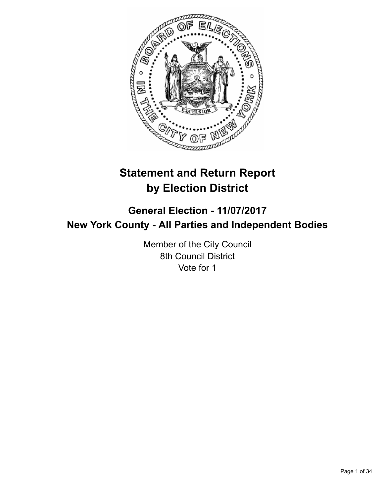

# **Statement and Return Report by Election District**

## **General Election - 11/07/2017 New York County - All Parties and Independent Bodies**

Member of the City Council 8th Council District Vote for 1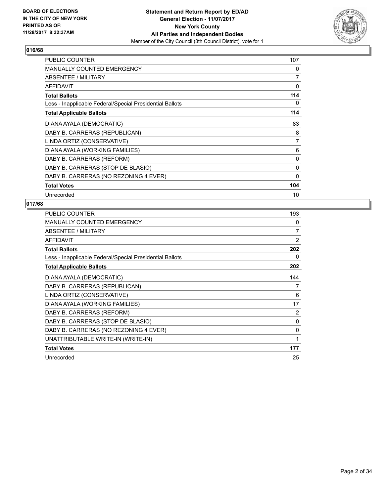

| <b>PUBLIC COUNTER</b>                                    | 107          |
|----------------------------------------------------------|--------------|
| <b>MANUALLY COUNTED EMERGENCY</b>                        | 0            |
| ABSENTEE / MILITARY                                      | 7            |
| <b>AFFIDAVIT</b>                                         | 0            |
| <b>Total Ballots</b>                                     | 114          |
| Less - Inapplicable Federal/Special Presidential Ballots | 0            |
| <b>Total Applicable Ballots</b>                          | 114          |
| DIANA AYALA (DEMOCRATIC)                                 | 83           |
| DABY B. CARRERAS (REPUBLICAN)                            | 8            |
| LINDA ORTIZ (CONSERVATIVE)                               | 7            |
| DIANA AYALA (WORKING FAMILIES)                           | 6            |
| DABY B. CARRERAS (REFORM)                                | 0            |
| DABY B. CARRERAS (STOP DE BLASIO)                        | 0            |
| DABY B. CARRERAS (NO REZONING 4 EVER)                    | $\mathbf{0}$ |
| <b>Total Votes</b>                                       | 104          |
| Unrecorded                                               | 10           |

| <b>PUBLIC COUNTER</b>                                    | 193            |
|----------------------------------------------------------|----------------|
| <b>MANUALLY COUNTED EMERGENCY</b>                        | 0              |
| ABSENTEE / MILITARY                                      | 7              |
| <b>AFFIDAVIT</b>                                         | 2              |
| <b>Total Ballots</b>                                     | 202            |
| Less - Inapplicable Federal/Special Presidential Ballots | 0              |
| <b>Total Applicable Ballots</b>                          | 202            |
| DIANA AYALA (DEMOCRATIC)                                 | 144            |
| DABY B. CARRERAS (REPUBLICAN)                            | 7              |
| LINDA ORTIZ (CONSERVATIVE)                               | 6              |
| DIANA AYALA (WORKING FAMILIES)                           | 17             |
| DABY B. CARRERAS (REFORM)                                | $\overline{2}$ |
| DABY B. CARRERAS (STOP DE BLASIO)                        | 0              |
| DABY B. CARRERAS (NO REZONING 4 EVER)                    | $\mathbf{0}$   |
| UNATTRIBUTABLE WRITE-IN (WRITE-IN)                       | 1              |
| <b>Total Votes</b>                                       | 177            |
| Unrecorded                                               | 25             |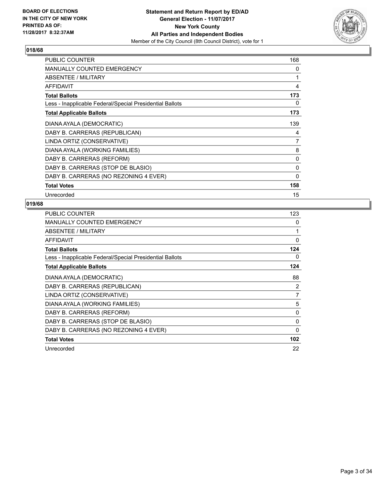

| <b>PUBLIC COUNTER</b>                                    | 168          |
|----------------------------------------------------------|--------------|
| <b>MANUALLY COUNTED EMERGENCY</b>                        | 0            |
| ABSENTEE / MILITARY                                      | 1            |
| <b>AFFIDAVIT</b>                                         | 4            |
| <b>Total Ballots</b>                                     | 173          |
| Less - Inapplicable Federal/Special Presidential Ballots | 0            |
| <b>Total Applicable Ballots</b>                          | 173          |
| DIANA AYALA (DEMOCRATIC)                                 | 139          |
| DABY B. CARRERAS (REPUBLICAN)                            | 4            |
| LINDA ORTIZ (CONSERVATIVE)                               | 7            |
| DIANA AYALA (WORKING FAMILIES)                           | 8            |
| DABY B. CARRERAS (REFORM)                                | 0            |
| DABY B. CARRERAS (STOP DE BLASIO)                        | 0            |
| DABY B. CARRERAS (NO REZONING 4 EVER)                    | $\mathbf{0}$ |
| <b>Total Votes</b>                                       | 158          |
| Unrecorded                                               | 15           |

| <b>PUBLIC COUNTER</b>                                    | 123      |
|----------------------------------------------------------|----------|
| <b>MANUALLY COUNTED EMERGENCY</b>                        | 0        |
| ABSENTEE / MILITARY                                      | 1        |
| <b>AFFIDAVIT</b>                                         | $\Omega$ |
| <b>Total Ballots</b>                                     | 124      |
| Less - Inapplicable Federal/Special Presidential Ballots | 0        |
| <b>Total Applicable Ballots</b>                          | 124      |
| DIANA AYALA (DEMOCRATIC)                                 | 88       |
| DABY B. CARRERAS (REPUBLICAN)                            | 2        |
| LINDA ORTIZ (CONSERVATIVE)                               | 7        |
| DIANA AYALA (WORKING FAMILIES)                           | 5        |
| DABY B. CARRERAS (REFORM)                                | 0        |
| DABY B. CARRERAS (STOP DE BLASIO)                        | 0        |
| DABY B. CARRERAS (NO REZONING 4 EVER)                    | 0        |
| <b>Total Votes</b>                                       | 102      |
| Unrecorded                                               | 22       |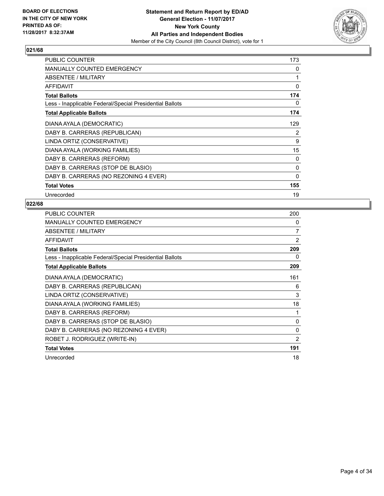

| <b>PUBLIC COUNTER</b>                                    | 173 |
|----------------------------------------------------------|-----|
| <b>MANUALLY COUNTED EMERGENCY</b>                        | 0   |
| ABSENTEE / MILITARY                                      | 1   |
| <b>AFFIDAVIT</b>                                         | 0   |
| <b>Total Ballots</b>                                     | 174 |
| Less - Inapplicable Federal/Special Presidential Ballots | 0   |
| <b>Total Applicable Ballots</b>                          | 174 |
| DIANA AYALA (DEMOCRATIC)                                 | 129 |
| DABY B. CARRERAS (REPUBLICAN)                            | 2   |
| LINDA ORTIZ (CONSERVATIVE)                               | 9   |
| DIANA AYALA (WORKING FAMILIES)                           | 15  |
| DABY B. CARRERAS (REFORM)                                | 0   |
| DABY B. CARRERAS (STOP DE BLASIO)                        | 0   |
| DABY B. CARRERAS (NO REZONING 4 EVER)                    | 0   |
| <b>Total Votes</b>                                       | 155 |
| Unrecorded                                               | 19  |

| <b>PUBLIC COUNTER</b>                                    | 200            |
|----------------------------------------------------------|----------------|
| <b>MANUALLY COUNTED EMERGENCY</b>                        | 0              |
| <b>ABSENTEE / MILITARY</b>                               | 7              |
| AFFIDAVIT                                                | 2              |
| <b>Total Ballots</b>                                     | 209            |
| Less - Inapplicable Federal/Special Presidential Ballots | 0              |
| <b>Total Applicable Ballots</b>                          | 209            |
| DIANA AYALA (DEMOCRATIC)                                 | 161            |
| DABY B. CARRERAS (REPUBLICAN)                            | 6              |
| LINDA ORTIZ (CONSERVATIVE)                               | 3              |
| DIANA AYALA (WORKING FAMILIES)                           | 18             |
| DABY B. CARRERAS (REFORM)                                | 1              |
| DABY B. CARRERAS (STOP DE BLASIO)                        | 0              |
| DABY B. CARRERAS (NO REZONING 4 EVER)                    | 0              |
| ROBET J. RODRIGUEZ (WRITE-IN)                            | $\overline{2}$ |
| <b>Total Votes</b>                                       | 191            |
| Unrecorded                                               | 18             |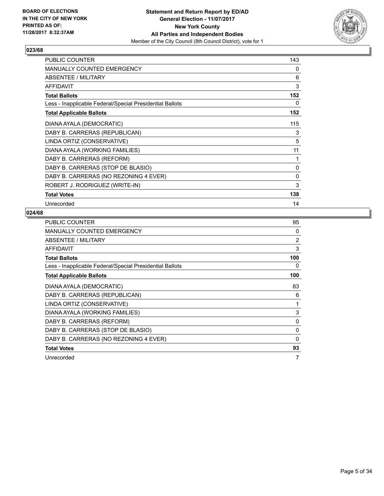

| <b>PUBLIC COUNTER</b>                                    | 143          |
|----------------------------------------------------------|--------------|
| <b>MANUALLY COUNTED EMERGENCY</b>                        | 0            |
| <b>ABSENTEE / MILITARY</b>                               | 6            |
| <b>AFFIDAVIT</b>                                         | 3            |
| <b>Total Ballots</b>                                     | 152          |
| Less - Inapplicable Federal/Special Presidential Ballots | 0            |
| <b>Total Applicable Ballots</b>                          | 152          |
| DIANA AYALA (DEMOCRATIC)                                 | 115          |
| DABY B. CARRERAS (REPUBLICAN)                            | 3            |
| LINDA ORTIZ (CONSERVATIVE)                               | 5            |
| DIANA AYALA (WORKING FAMILIES)                           | 11           |
| DABY B. CARRERAS (REFORM)                                | 1            |
| DABY B. CARRERAS (STOP DE BLASIO)                        | 0            |
| DABY B. CARRERAS (NO REZONING 4 EVER)                    | $\mathbf{0}$ |
| ROBERT J. RODRIGUEZ (WRITE-IN)                           | 3            |
| <b>Total Votes</b>                                       | 138          |
| Unrecorded                                               | 14           |

| PUBLIC COUNTER                                           | 95       |
|----------------------------------------------------------|----------|
| MANUALLY COUNTED EMERGENCY                               | 0        |
| ABSENTEE / MILITARY                                      | 2        |
| AFFIDAVIT                                                | 3        |
| <b>Total Ballots</b>                                     | 100      |
| Less - Inapplicable Federal/Special Presidential Ballots | 0        |
| <b>Total Applicable Ballots</b>                          | 100      |
| DIANA AYALA (DEMOCRATIC)                                 | 83       |
| DABY B. CARRERAS (REPUBLICAN)                            | 6        |
| LINDA ORTIZ (CONSERVATIVE)                               | 1        |
| DIANA AYALA (WORKING FAMILIES)                           | 3        |
| DABY B. CARRERAS (REFORM)                                | 0        |
| DABY B. CARRERAS (STOP DE BLASIO)                        | 0        |
| DABY B. CARRERAS (NO REZONING 4 EVER)                    | $\Omega$ |
| <b>Total Votes</b>                                       | 93       |
| Unrecorded                                               | 7        |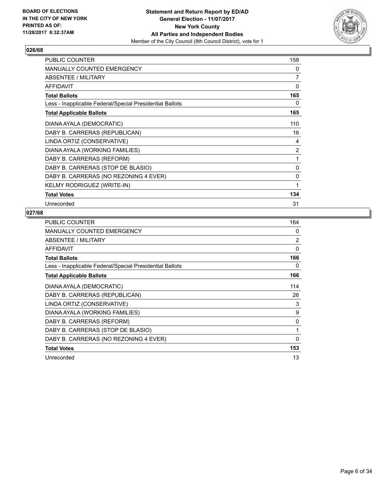

| <b>PUBLIC COUNTER</b>                                    | 158          |
|----------------------------------------------------------|--------------|
| MANUALLY COUNTED EMERGENCY                               | 0            |
| <b>ABSENTEE / MILITARY</b>                               | 7            |
| <b>AFFIDAVIT</b>                                         | $\mathbf{0}$ |
| <b>Total Ballots</b>                                     | 165          |
| Less - Inapplicable Federal/Special Presidential Ballots | 0            |
| <b>Total Applicable Ballots</b>                          | 165          |
| DIANA AYALA (DEMOCRATIC)                                 | 110          |
| DABY B. CARRERAS (REPUBLICAN)                            | 16           |
| LINDA ORTIZ (CONSERVATIVE)                               | 4            |
| DIANA AYALA (WORKING FAMILIES)                           | 2            |
| DABY B. CARRERAS (REFORM)                                | 1            |
| DABY B. CARRERAS (STOP DE BLASIO)                        | 0            |
| DABY B. CARRERAS (NO REZONING 4 EVER)                    | 0            |
| KELMY RODRIGUEZ (WRITE-IN)                               | 1            |
| <b>Total Votes</b>                                       | 134          |
| Unrecorded                                               | 31           |

| <b>PUBLIC COUNTER</b>                                    | 164 |
|----------------------------------------------------------|-----|
| <b>MANUALLY COUNTED EMERGENCY</b>                        | 0   |
| ABSENTEE / MILITARY                                      | 2   |
| <b>AFFIDAVIT</b>                                         | 0   |
| <b>Total Ballots</b>                                     | 166 |
| Less - Inapplicable Federal/Special Presidential Ballots | 0   |
| <b>Total Applicable Ballots</b>                          | 166 |
| DIANA AYALA (DEMOCRATIC)                                 | 114 |
| DABY B. CARRERAS (REPUBLICAN)                            | 26  |
| LINDA ORTIZ (CONSERVATIVE)                               | 3   |
| DIANA AYALA (WORKING FAMILIES)                           | 9   |
| DABY B. CARRERAS (REFORM)                                | 0   |
| DABY B. CARRERAS (STOP DE BLASIO)                        | 1   |
| DABY B. CARRERAS (NO REZONING 4 EVER)                    | 0   |
| <b>Total Votes</b>                                       | 153 |
| Unrecorded                                               | 13  |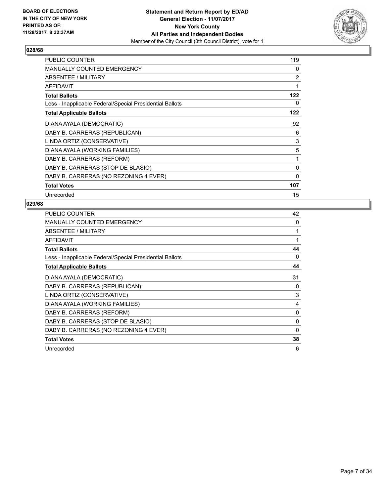

| PUBLIC COUNTER                                           | 119 |
|----------------------------------------------------------|-----|
| <b>MANUALLY COUNTED EMERGENCY</b>                        | 0   |
| ABSENTEE / MILITARY                                      | 2   |
| <b>AFFIDAVIT</b>                                         | 1   |
| <b>Total Ballots</b>                                     | 122 |
| Less - Inapplicable Federal/Special Presidential Ballots | 0   |
| <b>Total Applicable Ballots</b>                          | 122 |
| DIANA AYALA (DEMOCRATIC)                                 | 92  |
| DABY B. CARRERAS (REPUBLICAN)                            | 6   |
| LINDA ORTIZ (CONSERVATIVE)                               | 3   |
| DIANA AYALA (WORKING FAMILIES)                           | 5   |
| DABY B. CARRERAS (REFORM)                                | 1   |
| DABY B. CARRERAS (STOP DE BLASIO)                        | 0   |
| DABY B. CARRERAS (NO REZONING 4 EVER)                    | 0   |
| <b>Total Votes</b>                                       | 107 |
| Unrecorded                                               | 15  |

| <b>PUBLIC COUNTER</b>                                    | 42 |
|----------------------------------------------------------|----|
| MANUALLY COUNTED EMERGENCY                               | 0  |
| ABSENTEE / MILITARY                                      | 1  |
| AFFIDAVIT                                                | 1  |
| <b>Total Ballots</b>                                     | 44 |
| Less - Inapplicable Federal/Special Presidential Ballots | 0  |
| <b>Total Applicable Ballots</b>                          | 44 |
| DIANA AYALA (DEMOCRATIC)                                 | 31 |
| DABY B. CARRERAS (REPUBLICAN)                            | 0  |
| LINDA ORTIZ (CONSERVATIVE)                               | 3  |
| DIANA AYALA (WORKING FAMILIES)                           | 4  |
| DABY B. CARRERAS (REFORM)                                | 0  |
| DABY B. CARRERAS (STOP DE BLASIO)                        | 0  |
| DABY B. CARRERAS (NO REZONING 4 EVER)                    | 0  |
| <b>Total Votes</b>                                       | 38 |
| Unrecorded                                               | 6  |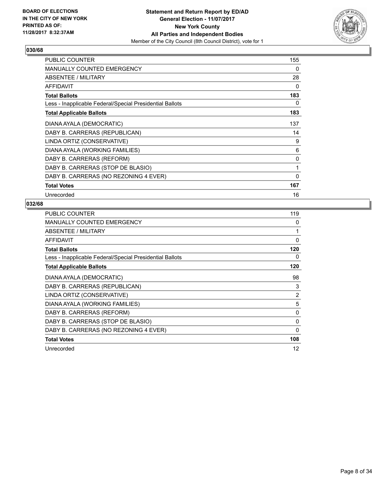

| <b>PUBLIC COUNTER</b>                                    | 155          |
|----------------------------------------------------------|--------------|
| MANUALLY COUNTED EMERGENCY                               | 0            |
| ABSENTEE / MILITARY                                      | 28           |
| <b>AFFIDAVIT</b>                                         | 0            |
| <b>Total Ballots</b>                                     | 183          |
| Less - Inapplicable Federal/Special Presidential Ballots | 0            |
| <b>Total Applicable Ballots</b>                          | 183          |
| DIANA AYALA (DEMOCRATIC)                                 | 137          |
| DABY B. CARRERAS (REPUBLICAN)                            | 14           |
| LINDA ORTIZ (CONSERVATIVE)                               | 9            |
| DIANA AYALA (WORKING FAMILIES)                           | 6            |
| DABY B. CARRERAS (REFORM)                                | 0            |
| DABY B. CARRERAS (STOP DE BLASIO)                        | 1            |
| DABY B. CARRERAS (NO REZONING 4 EVER)                    | $\mathbf{0}$ |
| <b>Total Votes</b>                                       | 167          |
| Unrecorded                                               | 16           |

| <b>PUBLIC COUNTER</b>                                    | 119 |
|----------------------------------------------------------|-----|
| MANUALLY COUNTED EMERGENCY                               | 0   |
| ABSENTEE / MILITARY                                      | 1   |
| AFFIDAVIT                                                | 0   |
| <b>Total Ballots</b>                                     | 120 |
| Less - Inapplicable Federal/Special Presidential Ballots | 0   |
| <b>Total Applicable Ballots</b>                          | 120 |
| DIANA AYALA (DEMOCRATIC)                                 | 98  |
| DABY B. CARRERAS (REPUBLICAN)                            | 3   |
| LINDA ORTIZ (CONSERVATIVE)                               | 2   |
| DIANA AYALA (WORKING FAMILIES)                           | 5   |
| DABY B. CARRERAS (REFORM)                                | 0   |
| DABY B. CARRERAS (STOP DE BLASIO)                        | 0   |
| DABY B. CARRERAS (NO REZONING 4 EVER)                    | 0   |
| <b>Total Votes</b>                                       | 108 |
| Unrecorded                                               | 12  |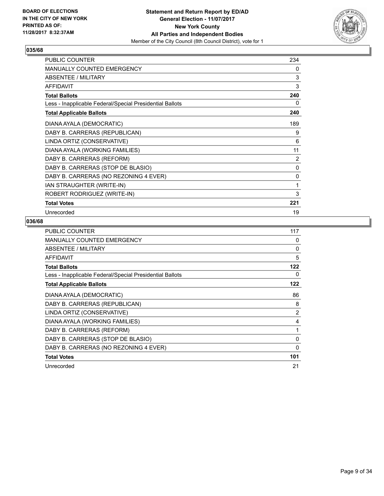

| <b>PUBLIC COUNTER</b>                                    | 234 |
|----------------------------------------------------------|-----|
| MANUALLY COUNTED EMERGENCY                               | 0   |
| ABSENTEE / MILITARY                                      | 3   |
| <b>AFFIDAVIT</b>                                         | 3   |
| <b>Total Ballots</b>                                     | 240 |
| Less - Inapplicable Federal/Special Presidential Ballots | 0   |
| <b>Total Applicable Ballots</b>                          | 240 |
| DIANA AYALA (DEMOCRATIC)                                 | 189 |
| DABY B. CARRERAS (REPUBLICAN)                            | 9   |
| LINDA ORTIZ (CONSERVATIVE)                               | 6   |
| DIANA AYALA (WORKING FAMILIES)                           | 11  |
| DABY B. CARRERAS (REFORM)                                | 2   |
| DABY B. CARRERAS (STOP DE BLASIO)                        | 0   |
| DABY B. CARRERAS (NO REZONING 4 EVER)                    | 0   |
| IAN STRAUGHTER (WRITE-IN)                                | 1   |
| ROBERT RODRIGUEZ (WRITE-IN)                              | 3   |
| <b>Total Votes</b>                                       | 221 |
| Unrecorded                                               | 19  |

| <b>PUBLIC COUNTER</b>                                    | 117            |
|----------------------------------------------------------|----------------|
| <b>MANUALLY COUNTED EMERGENCY</b>                        | 0              |
| ABSENTEE / MILITARY                                      | 0              |
| <b>AFFIDAVIT</b>                                         | 5              |
| <b>Total Ballots</b>                                     | 122            |
| Less - Inapplicable Federal/Special Presidential Ballots | 0              |
| <b>Total Applicable Ballots</b>                          | 122            |
| DIANA AYALA (DEMOCRATIC)                                 | 86             |
| DABY B. CARRERAS (REPUBLICAN)                            | 8              |
| LINDA ORTIZ (CONSERVATIVE)                               | $\overline{2}$ |
| DIANA AYALA (WORKING FAMILIES)                           | 4              |
| DABY B. CARRERAS (REFORM)                                | 1              |
| DABY B. CARRERAS (STOP DE BLASIO)                        | $\Omega$       |
| DABY B. CARRERAS (NO REZONING 4 EVER)                    | 0              |
| <b>Total Votes</b>                                       | 101            |
| Unrecorded                                               | 21             |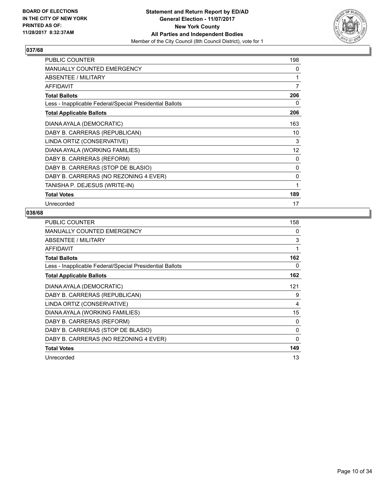

| PUBLIC COUNTER                                           | 198 |
|----------------------------------------------------------|-----|
| MANUALLY COUNTED EMERGENCY                               | 0   |
| <b>ABSENTEE / MILITARY</b>                               | 1   |
| <b>AFFIDAVIT</b>                                         | 7   |
| <b>Total Ballots</b>                                     | 206 |
| Less - Inapplicable Federal/Special Presidential Ballots | 0   |
| <b>Total Applicable Ballots</b>                          | 206 |
| DIANA AYALA (DEMOCRATIC)                                 | 163 |
| DABY B. CARRERAS (REPUBLICAN)                            | 10  |
| LINDA ORTIZ (CONSERVATIVE)                               | 3   |
| DIANA AYALA (WORKING FAMILIES)                           | 12  |
| DABY B. CARRERAS (REFORM)                                | 0   |
| DABY B. CARRERAS (STOP DE BLASIO)                        | 0   |
| DABY B. CARRERAS (NO REZONING 4 EVER)                    | 0   |
| TANISHA P. DEJESUS (WRITE-IN)                            | 1   |
| <b>Total Votes</b>                                       | 189 |
| Unrecorded                                               | 17  |

| <b>PUBLIC COUNTER</b>                                    | 158      |
|----------------------------------------------------------|----------|
| <b>MANUALLY COUNTED EMERGENCY</b>                        | 0        |
| ABSENTEE / MILITARY                                      | 3        |
| <b>AFFIDAVIT</b>                                         | 1        |
| <b>Total Ballots</b>                                     | 162      |
| Less - Inapplicable Federal/Special Presidential Ballots | 0        |
| <b>Total Applicable Ballots</b>                          | 162      |
| DIANA AYALA (DEMOCRATIC)                                 | 121      |
| DABY B. CARRERAS (REPUBLICAN)                            | 9        |
| LINDA ORTIZ (CONSERVATIVE)                               | 4        |
| DIANA AYALA (WORKING FAMILIES)                           | 15       |
| DABY B. CARRERAS (REFORM)                                | 0        |
| DABY B. CARRERAS (STOP DE BLASIO)                        | $\Omega$ |
| DABY B. CARRERAS (NO REZONING 4 EVER)                    | 0        |
| <b>Total Votes</b>                                       | 149      |
| Unrecorded                                               | 13       |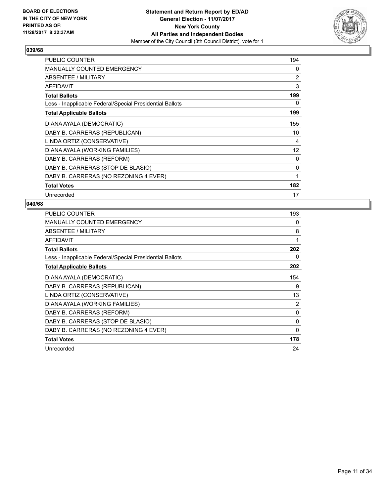

| <b>PUBLIC COUNTER</b>                                    | 194 |
|----------------------------------------------------------|-----|
| <b>MANUALLY COUNTED EMERGENCY</b>                        | 0   |
| ABSENTEE / MILITARY                                      | 2   |
| AFFIDAVIT                                                | 3   |
| <b>Total Ballots</b>                                     | 199 |
| Less - Inapplicable Federal/Special Presidential Ballots | 0   |
| <b>Total Applicable Ballots</b>                          | 199 |
| DIANA AYALA (DEMOCRATIC)                                 | 155 |
| DABY B. CARRERAS (REPUBLICAN)                            | 10  |
| LINDA ORTIZ (CONSERVATIVE)                               | 4   |
| DIANA AYALA (WORKING FAMILIES)                           | 12  |
| DABY B. CARRERAS (REFORM)                                | 0   |
| DABY B. CARRERAS (STOP DE BLASIO)                        | 0   |
| DABY B. CARRERAS (NO REZONING 4 EVER)                    | 1   |
| <b>Total Votes</b>                                       | 182 |
| Unrecorded                                               | 17  |

| <b>PUBLIC COUNTER</b>                                    | 193            |
|----------------------------------------------------------|----------------|
| <b>MANUALLY COUNTED EMERGENCY</b>                        | 0              |
| ABSENTEE / MILITARY                                      | 8              |
| <b>AFFIDAVIT</b>                                         | 1              |
| <b>Total Ballots</b>                                     | 202            |
| Less - Inapplicable Federal/Special Presidential Ballots | 0              |
| <b>Total Applicable Ballots</b>                          | 202            |
| DIANA AYALA (DEMOCRATIC)                                 | 154            |
| DABY B. CARRERAS (REPUBLICAN)                            | 9              |
| LINDA ORTIZ (CONSERVATIVE)                               | 13             |
| DIANA AYALA (WORKING FAMILIES)                           | $\overline{2}$ |
| DABY B. CARRERAS (REFORM)                                | 0              |
| DABY B. CARRERAS (STOP DE BLASIO)                        | 0              |
| DABY B. CARRERAS (NO REZONING 4 EVER)                    | 0              |
| <b>Total Votes</b>                                       | 178            |
| Unrecorded                                               | 24             |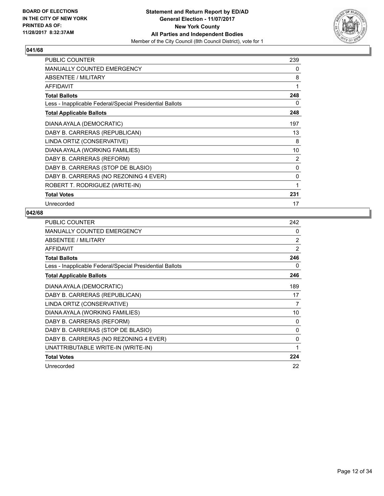

| <b>PUBLIC COUNTER</b>                                    | 239 |
|----------------------------------------------------------|-----|
| <b>MANUALLY COUNTED EMERGENCY</b>                        | 0   |
| <b>ABSENTEE / MILITARY</b>                               | 8   |
| <b>AFFIDAVIT</b>                                         | 1   |
| <b>Total Ballots</b>                                     | 248 |
| Less - Inapplicable Federal/Special Presidential Ballots | 0   |
| <b>Total Applicable Ballots</b>                          | 248 |
| DIANA AYALA (DEMOCRATIC)                                 | 197 |
| DABY B. CARRERAS (REPUBLICAN)                            | 13  |
| LINDA ORTIZ (CONSERVATIVE)                               | 8   |
| DIANA AYALA (WORKING FAMILIES)                           | 10  |
| DABY B. CARRERAS (REFORM)                                | 2   |
| DABY B. CARRERAS (STOP DE BLASIO)                        | 0   |
| DABY B. CARRERAS (NO REZONING 4 EVER)                    | 0   |
| ROBERT T. RODRIGUEZ (WRITE-IN)                           | 1   |
| <b>Total Votes</b>                                       | 231 |
| Unrecorded                                               | 17  |

| <b>PUBLIC COUNTER</b>                                    | 242 |
|----------------------------------------------------------|-----|
| <b>MANUALLY COUNTED EMERGENCY</b>                        | 0   |
| ABSENTEE / MILITARY                                      | 2   |
| AFFIDAVIT                                                | 2   |
| <b>Total Ballots</b>                                     | 246 |
| Less - Inapplicable Federal/Special Presidential Ballots | 0   |
| <b>Total Applicable Ballots</b>                          | 246 |
| DIANA AYALA (DEMOCRATIC)                                 | 189 |
| DABY B. CARRERAS (REPUBLICAN)                            | 17  |
| LINDA ORTIZ (CONSERVATIVE)                               | 7   |
| DIANA AYALA (WORKING FAMILIES)                           | 10  |
| DABY B. CARRERAS (REFORM)                                | 0   |
| DABY B. CARRERAS (STOP DE BLASIO)                        | 0   |
| DABY B. CARRERAS (NO REZONING 4 EVER)                    | 0   |
| UNATTRIBUTABLE WRITE-IN (WRITE-IN)                       | 1   |
| <b>Total Votes</b>                                       | 224 |
| Unrecorded                                               | 22  |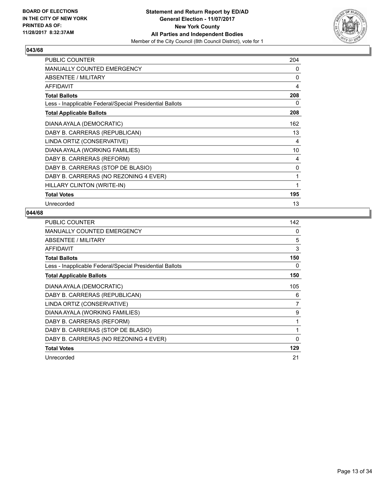

| <b>PUBLIC COUNTER</b>                                    | 204 |
|----------------------------------------------------------|-----|
| <b>MANUALLY COUNTED EMERGENCY</b>                        | 0   |
| <b>ABSENTEE / MILITARY</b>                               | 0   |
| <b>AFFIDAVIT</b>                                         | 4   |
| <b>Total Ballots</b>                                     | 208 |
| Less - Inapplicable Federal/Special Presidential Ballots | 0   |
| <b>Total Applicable Ballots</b>                          | 208 |
| DIANA AYALA (DEMOCRATIC)                                 | 162 |
| DABY B. CARRERAS (REPUBLICAN)                            | 13  |
| LINDA ORTIZ (CONSERVATIVE)                               | 4   |
| DIANA AYALA (WORKING FAMILIES)                           | 10  |
| DABY B. CARRERAS (REFORM)                                | 4   |
| DABY B. CARRERAS (STOP DE BLASIO)                        | 0   |
| DABY B. CARRERAS (NO REZONING 4 EVER)                    | 1   |
| HILLARY CLINTON (WRITE-IN)                               | 1   |
| <b>Total Votes</b>                                       | 195 |
| Unrecorded                                               | 13  |

| <b>PUBLIC COUNTER</b>                                    | 142            |
|----------------------------------------------------------|----------------|
| <b>MANUALLY COUNTED EMERGENCY</b>                        | 0              |
| <b>ABSENTEE / MILITARY</b>                               | 5              |
| AFFIDAVIT                                                | 3              |
| <b>Total Ballots</b>                                     | 150            |
| Less - Inapplicable Federal/Special Presidential Ballots | 0              |
| <b>Total Applicable Ballots</b>                          | 150            |
| DIANA AYALA (DEMOCRATIC)                                 | 105            |
| DABY B. CARRERAS (REPUBLICAN)                            | 6              |
| LINDA ORTIZ (CONSERVATIVE)                               | $\overline{7}$ |
| DIANA AYALA (WORKING FAMILIES)                           | 9              |
| DABY B. CARRERAS (REFORM)                                | 1              |
| DABY B. CARRERAS (STOP DE BLASIO)                        | 1              |
| DABY B. CARRERAS (NO REZONING 4 EVER)                    | 0              |
| <b>Total Votes</b>                                       | 129            |
| Unrecorded                                               | 21             |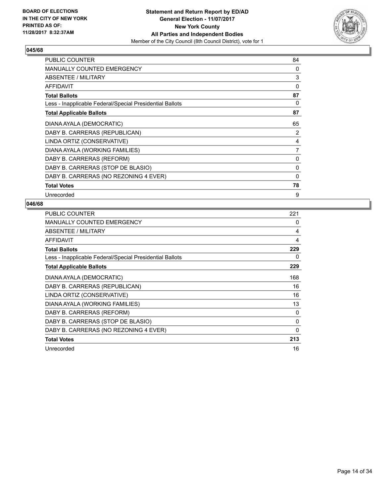

| <b>PUBLIC COUNTER</b>                                    | 84 |
|----------------------------------------------------------|----|
| <b>MANUALLY COUNTED EMERGENCY</b>                        | 0  |
| ABSENTEE / MILITARY                                      | 3  |
| <b>AFFIDAVIT</b>                                         | 0  |
| <b>Total Ballots</b>                                     | 87 |
| Less - Inapplicable Federal/Special Presidential Ballots | 0  |
| <b>Total Applicable Ballots</b>                          | 87 |
| DIANA AYALA (DEMOCRATIC)                                 | 65 |
| DABY B. CARRERAS (REPUBLICAN)                            | 2  |
| LINDA ORTIZ (CONSERVATIVE)                               | 4  |
| DIANA AYALA (WORKING FAMILIES)                           | 7  |
| DABY B. CARRERAS (REFORM)                                | 0  |
| DABY B. CARRERAS (STOP DE BLASIO)                        | 0  |
| DABY B. CARRERAS (NO REZONING 4 EVER)                    | 0  |
| <b>Total Votes</b>                                       | 78 |
| Unrecorded                                               | 9  |

| <b>PUBLIC COUNTER</b>                                    | 221 |
|----------------------------------------------------------|-----|
| MANUALLY COUNTED EMERGENCY                               | 0   |
| ABSENTEE / MILITARY                                      | 4   |
| AFFIDAVIT                                                | 4   |
| <b>Total Ballots</b>                                     | 229 |
| Less - Inapplicable Federal/Special Presidential Ballots | 0   |
| <b>Total Applicable Ballots</b>                          | 229 |
| DIANA AYALA (DEMOCRATIC)                                 | 168 |
| DABY B. CARRERAS (REPUBLICAN)                            | 16  |
| LINDA ORTIZ (CONSERVATIVE)                               | 16  |
| DIANA AYALA (WORKING FAMILIES)                           | 13  |
| DABY B. CARRERAS (REFORM)                                | 0   |
| DABY B. CARRERAS (STOP DE BLASIO)                        | 0   |
| DABY B. CARRERAS (NO REZONING 4 EVER)                    | 0   |
| <b>Total Votes</b>                                       | 213 |
| Unrecorded                                               | 16  |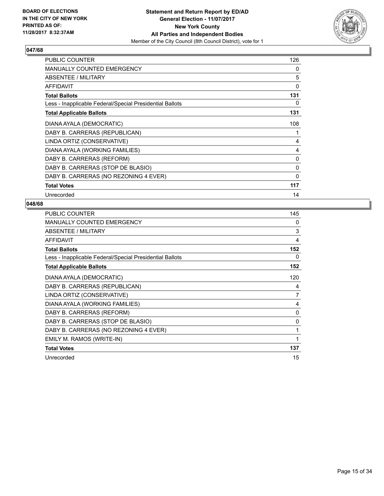

| <b>PUBLIC COUNTER</b>                                    | 126          |
|----------------------------------------------------------|--------------|
| <b>MANUALLY COUNTED EMERGENCY</b>                        | 0            |
| ABSENTEE / MILITARY                                      | 5            |
| <b>AFFIDAVIT</b>                                         | 0            |
| <b>Total Ballots</b>                                     | 131          |
| Less - Inapplicable Federal/Special Presidential Ballots | 0            |
| <b>Total Applicable Ballots</b>                          | 131          |
| DIANA AYALA (DEMOCRATIC)                                 | 108          |
| DABY B. CARRERAS (REPUBLICAN)                            | 1            |
| LINDA ORTIZ (CONSERVATIVE)                               | 4            |
| DIANA AYALA (WORKING FAMILIES)                           | 4            |
| DABY B. CARRERAS (REFORM)                                | 0            |
| DABY B. CARRERAS (STOP DE BLASIO)                        | 0            |
| DABY B. CARRERAS (NO REZONING 4 EVER)                    | $\mathbf{0}$ |
| <b>Total Votes</b>                                       | 117          |
| Unrecorded                                               | 14           |

| PUBLIC COUNTER                                           | 145      |
|----------------------------------------------------------|----------|
| <b>MANUALLY COUNTED EMERGENCY</b>                        | $\Omega$ |
| ABSENTEE / MILITARY                                      | 3        |
| <b>AFFIDAVIT</b>                                         | 4        |
| <b>Total Ballots</b>                                     | 152      |
| Less - Inapplicable Federal/Special Presidential Ballots | 0        |
| <b>Total Applicable Ballots</b>                          | 152      |
| DIANA AYALA (DEMOCRATIC)                                 | 120      |
| DABY B. CARRERAS (REPUBLICAN)                            | 4        |
| LINDA ORTIZ (CONSERVATIVE)                               | 7        |
| DIANA AYALA (WORKING FAMILIES)                           | 4        |
| DABY B. CARRERAS (REFORM)                                | $\Omega$ |
| DABY B. CARRERAS (STOP DE BLASIO)                        | 0        |
| DABY B. CARRERAS (NO REZONING 4 EVER)                    | 1        |
| EMILY M. RAMOS (WRITE-IN)                                | 1        |
| <b>Total Votes</b>                                       | 137      |
| Unrecorded                                               | 15       |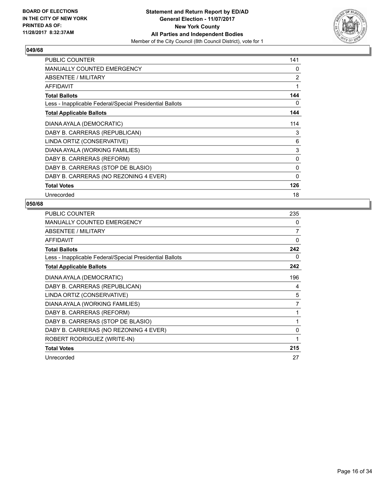

| <b>PUBLIC COUNTER</b>                                    | 141          |
|----------------------------------------------------------|--------------|
| <b>MANUALLY COUNTED EMERGENCY</b>                        | 0            |
| ABSENTEE / MILITARY                                      | 2            |
| <b>AFFIDAVIT</b>                                         | 1            |
| <b>Total Ballots</b>                                     | 144          |
| Less - Inapplicable Federal/Special Presidential Ballots | 0            |
| <b>Total Applicable Ballots</b>                          | 144          |
| DIANA AYALA (DEMOCRATIC)                                 | 114          |
| DABY B. CARRERAS (REPUBLICAN)                            | 3            |
| LINDA ORTIZ (CONSERVATIVE)                               | 6            |
| DIANA AYALA (WORKING FAMILIES)                           | 3            |
| DABY B. CARRERAS (REFORM)                                | 0            |
| DABY B. CARRERAS (STOP DE BLASIO)                        | 0            |
| DABY B. CARRERAS (NO REZONING 4 EVER)                    | $\mathbf{0}$ |
| <b>Total Votes</b>                                       | 126          |
| Unrecorded                                               | 18           |

| <b>PUBLIC COUNTER</b>                                    | 235 |
|----------------------------------------------------------|-----|
| <b>MANUALLY COUNTED EMERGENCY</b>                        | 0   |
| ABSENTEE / MILITARY                                      | 7   |
| <b>AFFIDAVIT</b>                                         | 0   |
| <b>Total Ballots</b>                                     | 242 |
| Less - Inapplicable Federal/Special Presidential Ballots | 0   |
| <b>Total Applicable Ballots</b>                          | 242 |
| DIANA AYALA (DEMOCRATIC)                                 | 196 |
| DABY B. CARRERAS (REPUBLICAN)                            | 4   |
| LINDA ORTIZ (CONSERVATIVE)                               | 5   |
| DIANA AYALA (WORKING FAMILIES)                           | 7   |
| DABY B. CARRERAS (REFORM)                                | 1   |
| DABY B. CARRERAS (STOP DE BLASIO)                        | 1   |
| DABY B. CARRERAS (NO REZONING 4 EVER)                    | 0   |
| ROBERT RODRIGUEZ (WRITE-IN)                              | 1   |
| <b>Total Votes</b>                                       | 215 |
| Unrecorded                                               | 27  |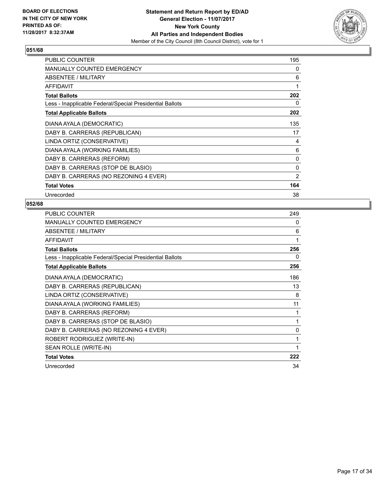

| <b>PUBLIC COUNTER</b>                                    | 195 |
|----------------------------------------------------------|-----|
| <b>MANUALLY COUNTED EMERGENCY</b>                        | 0   |
| ABSENTEE / MILITARY                                      | 6   |
| <b>AFFIDAVIT</b>                                         | 1   |
| <b>Total Ballots</b>                                     | 202 |
| Less - Inapplicable Federal/Special Presidential Ballots | 0   |
| <b>Total Applicable Ballots</b>                          | 202 |
| DIANA AYALA (DEMOCRATIC)                                 | 135 |
| DABY B. CARRERAS (REPUBLICAN)                            | 17  |
| LINDA ORTIZ (CONSERVATIVE)                               | 4   |
| DIANA AYALA (WORKING FAMILIES)                           | 6   |
| DABY B. CARRERAS (REFORM)                                | 0   |
| DABY B. CARRERAS (STOP DE BLASIO)                        | 0   |
| DABY B. CARRERAS (NO REZONING 4 EVER)                    | 2   |
| <b>Total Votes</b>                                       | 164 |
| Unrecorded                                               | 38  |

| <b>PUBLIC COUNTER</b>                                    | 249          |
|----------------------------------------------------------|--------------|
| MANUALLY COUNTED EMERGENCY                               | 0            |
| ABSENTEE / MILITARY                                      | 6            |
| <b>AFFIDAVIT</b>                                         | 1            |
| <b>Total Ballots</b>                                     | 256          |
| Less - Inapplicable Federal/Special Presidential Ballots | 0            |
| <b>Total Applicable Ballots</b>                          | 256          |
| DIANA AYALA (DEMOCRATIC)                                 | 186          |
| DABY B. CARRERAS (REPUBLICAN)                            | 13           |
| LINDA ORTIZ (CONSERVATIVE)                               | 8            |
| DIANA AYALA (WORKING FAMILIES)                           | 11           |
| DABY B. CARRERAS (REFORM)                                | 1            |
| DABY B. CARRERAS (STOP DE BLASIO)                        | $\mathbf{1}$ |
| DABY B. CARRERAS (NO REZONING 4 EVER)                    | $\mathbf{0}$ |
| ROBERT RODRIGUEZ (WRITE-IN)                              | 1            |
| SEAN ROLLE (WRITE-IN)                                    | 1            |
| <b>Total Votes</b>                                       | 222          |
| Unrecorded                                               | 34           |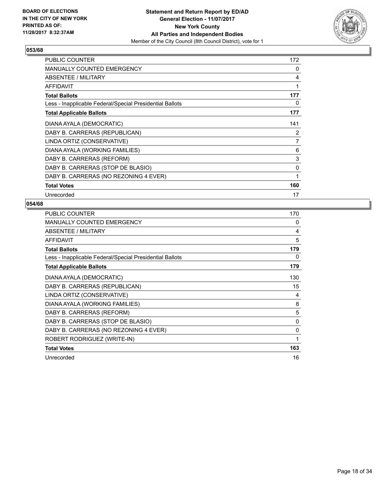

| <b>PUBLIC COUNTER</b>                                    | 172 |
|----------------------------------------------------------|-----|
| <b>MANUALLY COUNTED EMERGENCY</b>                        | 0   |
| ABSENTEE / MILITARY                                      | 4   |
| AFFIDAVIT                                                | 1   |
| <b>Total Ballots</b>                                     | 177 |
| Less - Inapplicable Federal/Special Presidential Ballots | 0   |
| <b>Total Applicable Ballots</b>                          | 177 |
| DIANA AYALA (DEMOCRATIC)                                 | 141 |
| DABY B. CARRERAS (REPUBLICAN)                            | 2   |
| LINDA ORTIZ (CONSERVATIVE)                               | 7   |
| DIANA AYALA (WORKING FAMILIES)                           | 6   |
| DABY B. CARRERAS (REFORM)                                | 3   |
| DABY B. CARRERAS (STOP DE BLASIO)                        | 0   |
| DABY B. CARRERAS (NO REZONING 4 EVER)                    | 1   |
| <b>Total Votes</b>                                       | 160 |
| Unrecorded                                               | 17  |

| <b>PUBLIC COUNTER</b>                                    | 170 |
|----------------------------------------------------------|-----|
| <b>MANUALLY COUNTED EMERGENCY</b>                        | 0   |
| <b>ABSENTEE / MILITARY</b>                               | 4   |
| AFFIDAVIT                                                | 5   |
| <b>Total Ballots</b>                                     | 179 |
| Less - Inapplicable Federal/Special Presidential Ballots | 0   |
| <b>Total Applicable Ballots</b>                          | 179 |
| DIANA AYALA (DEMOCRATIC)                                 | 130 |
| DABY B. CARRERAS (REPUBLICAN)                            | 15  |
| LINDA ORTIZ (CONSERVATIVE)                               | 4   |
| DIANA AYALA (WORKING FAMILIES)                           | 8   |
| DABY B. CARRERAS (REFORM)                                | 5   |
| DABY B. CARRERAS (STOP DE BLASIO)                        | 0   |
| DABY B. CARRERAS (NO REZONING 4 EVER)                    | 0   |
| ROBERT RODRIGUEZ (WRITE-IN)                              | 1   |
| <b>Total Votes</b>                                       | 163 |
| Unrecorded                                               | 16  |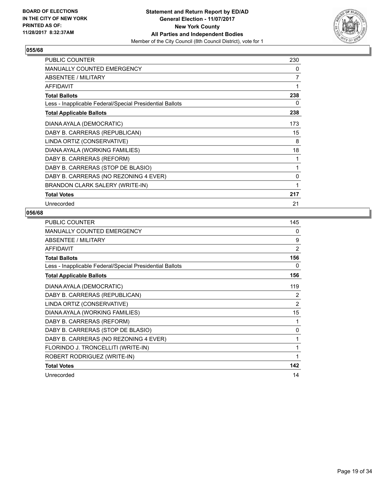

| <b>PUBLIC COUNTER</b>                                    | 230 |
|----------------------------------------------------------|-----|
| MANUALLY COUNTED EMERGENCY                               | 0   |
| <b>ABSENTEE / MILITARY</b>                               | 7   |
| <b>AFFIDAVIT</b>                                         | 1   |
| <b>Total Ballots</b>                                     | 238 |
| Less - Inapplicable Federal/Special Presidential Ballots | 0   |
| <b>Total Applicable Ballots</b>                          | 238 |
| DIANA AYALA (DEMOCRATIC)                                 | 173 |
| DABY B. CARRERAS (REPUBLICAN)                            | 15  |
| LINDA ORTIZ (CONSERVATIVE)                               | 8   |
| DIANA AYALA (WORKING FAMILIES)                           | 18  |
| DABY B. CARRERAS (REFORM)                                | 1   |
| DABY B. CARRERAS (STOP DE BLASIO)                        | 1   |
| DABY B. CARRERAS (NO REZONING 4 EVER)                    | 0   |
| BRANDON CLARK SALERY (WRITE-IN)                          | 1   |
| <b>Total Votes</b>                                       | 217 |
| Unrecorded                                               | 21  |

| <b>PUBLIC COUNTER</b>                                    | 145            |
|----------------------------------------------------------|----------------|
| <b>MANUALLY COUNTED EMERGENCY</b>                        | 0              |
| ABSENTEE / MILITARY                                      | 9              |
| <b>AFFIDAVIT</b>                                         | $\overline{2}$ |
| <b>Total Ballots</b>                                     | 156            |
| Less - Inapplicable Federal/Special Presidential Ballots | 0              |
| <b>Total Applicable Ballots</b>                          | 156            |
| DIANA AYALA (DEMOCRATIC)                                 | 119            |
| DABY B. CARRERAS (REPUBLICAN)                            | 2              |
| LINDA ORTIZ (CONSERVATIVE)                               | 2              |
| DIANA AYALA (WORKING FAMILIES)                           | 15             |
| DABY B. CARRERAS (REFORM)                                | 1              |
| DABY B. CARRERAS (STOP DE BLASIO)                        | 0              |
| DABY B. CARRERAS (NO REZONING 4 EVER)                    | 1              |
| FLORINDO J. TRONCELLITI (WRITE-IN)                       | 1              |
| ROBERT RODRIGUEZ (WRITE-IN)                              | 1              |
| <b>Total Votes</b>                                       | 142            |
| Unrecorded                                               | 14             |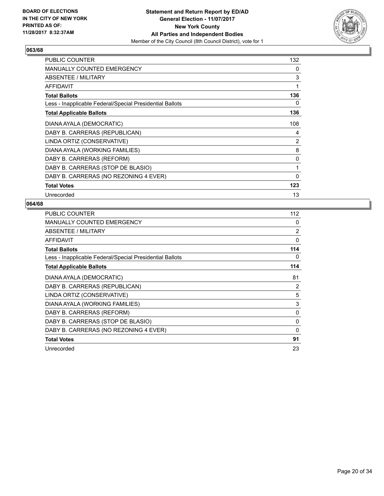

| <b>PUBLIC COUNTER</b>                                    | 132          |
|----------------------------------------------------------|--------------|
| <b>MANUALLY COUNTED EMERGENCY</b>                        | 0            |
| ABSENTEE / MILITARY                                      | 3            |
| <b>AFFIDAVIT</b>                                         | 1            |
| <b>Total Ballots</b>                                     | 136          |
| Less - Inapplicable Federal/Special Presidential Ballots | 0            |
| <b>Total Applicable Ballots</b>                          | 136          |
| DIANA AYALA (DEMOCRATIC)                                 | 108          |
| DABY B. CARRERAS (REPUBLICAN)                            | 4            |
| LINDA ORTIZ (CONSERVATIVE)                               | 2            |
| DIANA AYALA (WORKING FAMILIES)                           | 8            |
| DABY B. CARRERAS (REFORM)                                | 0            |
| DABY B. CARRERAS (STOP DE BLASIO)                        | 1            |
| DABY B. CARRERAS (NO REZONING 4 EVER)                    | $\mathbf{0}$ |
| <b>Total Votes</b>                                       | 123          |
| Unrecorded                                               | 13           |

| <b>PUBLIC COUNTER</b>                                    | 112            |
|----------------------------------------------------------|----------------|
| <b>MANUALLY COUNTED EMERGENCY</b>                        | 0              |
| ABSENTEE / MILITARY                                      | $\overline{2}$ |
| AFFIDAVIT                                                | 0              |
| <b>Total Ballots</b>                                     | 114            |
| Less - Inapplicable Federal/Special Presidential Ballots | 0              |
| <b>Total Applicable Ballots</b>                          | 114            |
| DIANA AYALA (DEMOCRATIC)                                 | 81             |
| DABY B. CARRERAS (REPUBLICAN)                            | 2              |
| LINDA ORTIZ (CONSERVATIVE)                               | 5              |
| DIANA AYALA (WORKING FAMILIES)                           | 3              |
| DABY B. CARRERAS (REFORM)                                | 0              |
| DABY B. CARRERAS (STOP DE BLASIO)                        | 0              |
| DABY B. CARRERAS (NO REZONING 4 EVER)                    | 0              |
| <b>Total Votes</b>                                       | 91             |
| Unrecorded                                               | 23             |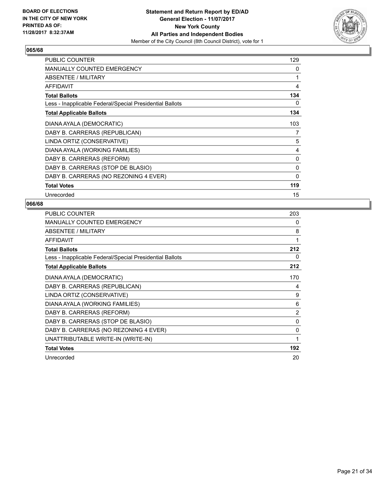

| <b>PUBLIC COUNTER</b>                                    | 129          |
|----------------------------------------------------------|--------------|
| <b>MANUALLY COUNTED EMERGENCY</b>                        | 0            |
| ABSENTEE / MILITARY                                      | 1            |
| <b>AFFIDAVIT</b>                                         | 4            |
| <b>Total Ballots</b>                                     | 134          |
| Less - Inapplicable Federal/Special Presidential Ballots | 0            |
| <b>Total Applicable Ballots</b>                          | 134          |
| DIANA AYALA (DEMOCRATIC)                                 | 103          |
| DABY B. CARRERAS (REPUBLICAN)                            | 7            |
| LINDA ORTIZ (CONSERVATIVE)                               | 5            |
| DIANA AYALA (WORKING FAMILIES)                           | 4            |
| DABY B. CARRERAS (REFORM)                                | 0            |
| DABY B. CARRERAS (STOP DE BLASIO)                        | 0            |
| DABY B. CARRERAS (NO REZONING 4 EVER)                    | $\mathbf{0}$ |
| <b>Total Votes</b>                                       | 119          |
| Unrecorded                                               | 15           |

| <b>PUBLIC COUNTER</b>                                    | 203            |
|----------------------------------------------------------|----------------|
| <b>MANUALLY COUNTED EMERGENCY</b>                        | 0              |
| ABSENTEE / MILITARY                                      | 8              |
| <b>AFFIDAVIT</b>                                         | 1              |
| <b>Total Ballots</b>                                     | 212            |
| Less - Inapplicable Federal/Special Presidential Ballots | 0              |
| <b>Total Applicable Ballots</b>                          | 212            |
| DIANA AYALA (DEMOCRATIC)                                 | 170            |
| DABY B. CARRERAS (REPUBLICAN)                            | 4              |
| LINDA ORTIZ (CONSERVATIVE)                               | 9              |
| DIANA AYALA (WORKING FAMILIES)                           | 6              |
| DABY B. CARRERAS (REFORM)                                | $\overline{2}$ |
| DABY B. CARRERAS (STOP DE BLASIO)                        | 0              |
| DABY B. CARRERAS (NO REZONING 4 EVER)                    | $\Omega$       |
| UNATTRIBUTABLE WRITE-IN (WRITE-IN)                       | 1              |
| <b>Total Votes</b>                                       | 192            |
| Unrecorded                                               | 20             |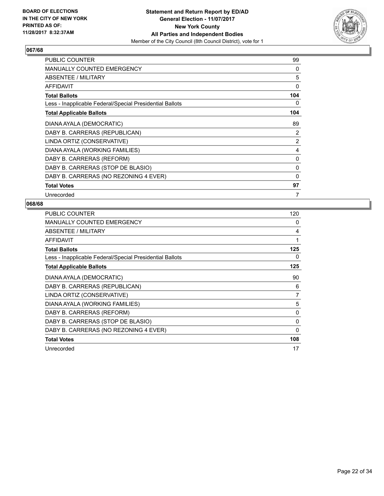

| PUBLIC COUNTER                                           | 99           |
|----------------------------------------------------------|--------------|
| <b>MANUALLY COUNTED EMERGENCY</b>                        | 0            |
| ABSENTEE / MILITARY                                      | 5            |
| AFFIDAVIT                                                | 0            |
| <b>Total Ballots</b>                                     | 104          |
| Less - Inapplicable Federal/Special Presidential Ballots | 0            |
| <b>Total Applicable Ballots</b>                          | 104          |
| DIANA AYALA (DEMOCRATIC)                                 | 89           |
| DABY B. CARRERAS (REPUBLICAN)                            | 2            |
| LINDA ORTIZ (CONSERVATIVE)                               | 2            |
| DIANA AYALA (WORKING FAMILIES)                           | 4            |
| DABY B. CARRERAS (REFORM)                                | $\mathbf{0}$ |
| DABY B. CARRERAS (STOP DE BLASIO)                        | 0            |
| DABY B. CARRERAS (NO REZONING 4 EVER)                    | 0            |
| <b>Total Votes</b>                                       | 97           |
| Unrecorded                                               | 7            |

| <b>PUBLIC COUNTER</b>                                    | 120      |
|----------------------------------------------------------|----------|
| <b>MANUALLY COUNTED EMERGENCY</b>                        | 0        |
| ABSENTEE / MILITARY                                      | 4        |
| <b>AFFIDAVIT</b>                                         | 1        |
| <b>Total Ballots</b>                                     | 125      |
| Less - Inapplicable Federal/Special Presidential Ballots | 0        |
| <b>Total Applicable Ballots</b>                          | 125      |
| DIANA AYALA (DEMOCRATIC)                                 | 90       |
| DABY B. CARRERAS (REPUBLICAN)                            | 6        |
| LINDA ORTIZ (CONSERVATIVE)                               | 7        |
| DIANA AYALA (WORKING FAMILIES)                           | 5        |
| DABY B. CARRERAS (REFORM)                                | 0        |
| DABY B. CARRERAS (STOP DE BLASIO)                        | $\Omega$ |
| DABY B. CARRERAS (NO REZONING 4 EVER)                    | 0        |
| <b>Total Votes</b>                                       | 108      |
| Unrecorded                                               | 17       |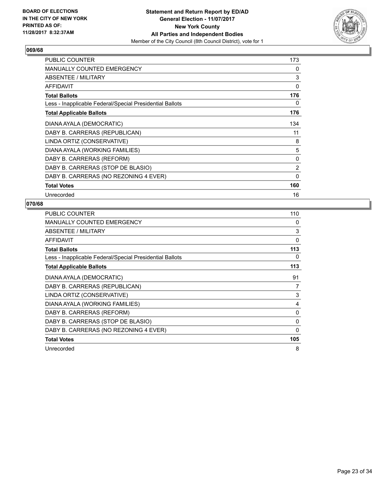

| <b>PUBLIC COUNTER</b>                                    | 173 |
|----------------------------------------------------------|-----|
| <b>MANUALLY COUNTED EMERGENCY</b>                        | 0   |
| ABSENTEE / MILITARY                                      | 3   |
| <b>AFFIDAVIT</b>                                         | 0   |
| <b>Total Ballots</b>                                     | 176 |
| Less - Inapplicable Federal/Special Presidential Ballots | 0   |
| <b>Total Applicable Ballots</b>                          | 176 |
| DIANA AYALA (DEMOCRATIC)                                 | 134 |
| DABY B. CARRERAS (REPUBLICAN)                            | 11  |
| LINDA ORTIZ (CONSERVATIVE)                               | 8   |
| DIANA AYALA (WORKING FAMILIES)                           | 5   |
| DABY B. CARRERAS (REFORM)                                | 0   |
| DABY B. CARRERAS (STOP DE BLASIO)                        | 2   |
| DABY B. CARRERAS (NO REZONING 4 EVER)                    | 0   |
| <b>Total Votes</b>                                       | 160 |
| Unrecorded                                               | 16  |

| <b>PUBLIC COUNTER</b>                                    | 110 |
|----------------------------------------------------------|-----|
| MANUALLY COUNTED EMERGENCY                               | 0   |
| ABSENTEE / MILITARY                                      | 3   |
| AFFIDAVIT                                                | 0   |
| <b>Total Ballots</b>                                     | 113 |
| Less - Inapplicable Federal/Special Presidential Ballots | 0   |
| <b>Total Applicable Ballots</b>                          | 113 |
| DIANA AYALA (DEMOCRATIC)                                 | 91  |
| DABY B. CARRERAS (REPUBLICAN)                            | 7   |
| LINDA ORTIZ (CONSERVATIVE)                               | 3   |
| DIANA AYALA (WORKING FAMILIES)                           | 4   |
| DABY B. CARRERAS (REFORM)                                | 0   |
| DABY B. CARRERAS (STOP DE BLASIO)                        | 0   |
| DABY B. CARRERAS (NO REZONING 4 EVER)                    | 0   |
| <b>Total Votes</b>                                       | 105 |
| Unrecorded                                               | 8   |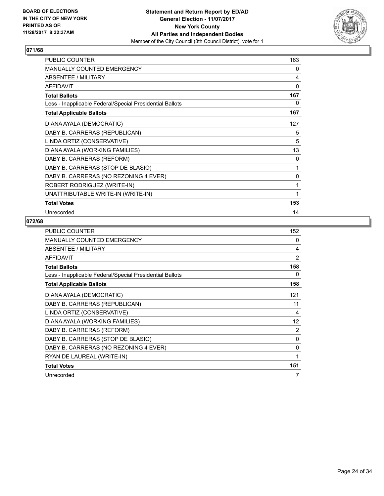

| <b>PUBLIC COUNTER</b>                                    | 163 |
|----------------------------------------------------------|-----|
| <b>MANUALLY COUNTED EMERGENCY</b>                        | 0   |
| ABSENTEE / MILITARY                                      | 4   |
| <b>AFFIDAVIT</b>                                         | 0   |
| <b>Total Ballots</b>                                     | 167 |
| Less - Inapplicable Federal/Special Presidential Ballots | 0   |
| <b>Total Applicable Ballots</b>                          | 167 |
| DIANA AYALA (DEMOCRATIC)                                 | 127 |
| DABY B. CARRERAS (REPUBLICAN)                            | 5   |
| LINDA ORTIZ (CONSERVATIVE)                               | 5   |
| DIANA AYALA (WORKING FAMILIES)                           | 13  |
| DABY B. CARRERAS (REFORM)                                | 0   |
| DABY B. CARRERAS (STOP DE BLASIO)                        | 1   |
| DABY B. CARRERAS (NO REZONING 4 EVER)                    | 0   |
| ROBERT RODRIGUEZ (WRITE-IN)                              | 1   |
| UNATTRIBUTABLE WRITE-IN (WRITE-IN)                       | 1   |
| <b>Total Votes</b>                                       | 153 |
| Unrecorded                                               | 14  |

| <b>PUBLIC COUNTER</b>                                    | 152 |
|----------------------------------------------------------|-----|
| <b>MANUALLY COUNTED EMERGENCY</b>                        | 0   |
| ABSENTEE / MILITARY                                      | 4   |
| <b>AFFIDAVIT</b>                                         | 2   |
| <b>Total Ballots</b>                                     | 158 |
| Less - Inapplicable Federal/Special Presidential Ballots | 0   |
| <b>Total Applicable Ballots</b>                          | 158 |
| DIANA AYALA (DEMOCRATIC)                                 | 121 |
| DABY B. CARRERAS (REPUBLICAN)                            | 11  |
| LINDA ORTIZ (CONSERVATIVE)                               | 4   |
| DIANA AYALA (WORKING FAMILIES)                           | 12  |
| DABY B. CARRERAS (REFORM)                                | 2   |
| DABY B. CARRERAS (STOP DE BLASIO)                        | 0   |
| DABY B. CARRERAS (NO REZONING 4 EVER)                    | 0   |
| RYAN DE LAUREAL (WRITE-IN)                               | 1   |
| <b>Total Votes</b>                                       | 151 |
| Unrecorded                                               | 7   |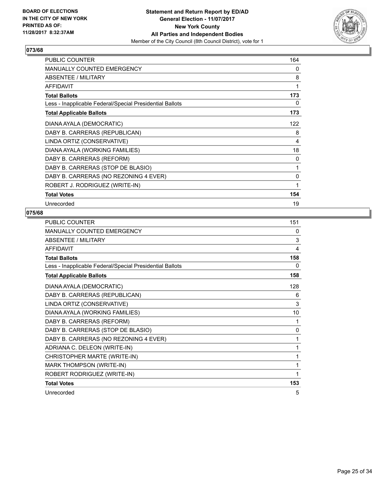

| <b>PUBLIC COUNTER</b>                                    | 164 |
|----------------------------------------------------------|-----|
| <b>MANUALLY COUNTED EMERGENCY</b>                        | 0   |
| ABSENTEE / MILITARY                                      | 8   |
| <b>AFFIDAVIT</b>                                         | 1   |
| <b>Total Ballots</b>                                     | 173 |
| Less - Inapplicable Federal/Special Presidential Ballots | 0   |
| <b>Total Applicable Ballots</b>                          | 173 |
| DIANA AYALA (DEMOCRATIC)                                 | 122 |
| DABY B. CARRERAS (REPUBLICAN)                            | 8   |
| LINDA ORTIZ (CONSERVATIVE)                               | 4   |
| DIANA AYALA (WORKING FAMILIES)                           | 18  |
| DABY B. CARRERAS (REFORM)                                | 0   |
| DABY B. CARRERAS (STOP DE BLASIO)                        | 1   |
| DABY B. CARRERAS (NO REZONING 4 EVER)                    | 0   |
| ROBERT J. RODRIGUEZ (WRITE-IN)                           | 1   |
| <b>Total Votes</b>                                       | 154 |
| Unrecorded                                               | 19  |

| <b>PUBLIC COUNTER</b>                                    | 151          |
|----------------------------------------------------------|--------------|
| MANUALLY COUNTED EMERGENCY                               | 0            |
| <b>ABSENTEE / MILITARY</b>                               | 3            |
| <b>AFFIDAVIT</b>                                         | 4            |
| <b>Total Ballots</b>                                     | 158          |
| Less - Inapplicable Federal/Special Presidential Ballots | 0            |
| <b>Total Applicable Ballots</b>                          | 158          |
| DIANA AYALA (DEMOCRATIC)                                 | 128          |
| DABY B. CARRERAS (REPUBLICAN)                            | 6            |
| LINDA ORTIZ (CONSERVATIVE)                               | 3            |
| DIANA AYALA (WORKING FAMILIES)                           | 10           |
| DABY B. CARRERAS (REFORM)                                | 1            |
| DABY B. CARRERAS (STOP DE BLASIO)                        | $\mathbf{0}$ |
| DABY B. CARRERAS (NO REZONING 4 EVER)                    | 1            |
| ADRIANA C. DELEON (WRITE-IN)                             | 1            |
| CHRISTOPHER MARTE (WRITE-IN)                             | 1            |
| <b>MARK THOMPSON (WRITE-IN)</b>                          | 1            |
| ROBERT RODRIGUEZ (WRITE-IN)                              | 1            |
| <b>Total Votes</b>                                       | 153          |
| Unrecorded                                               | 5            |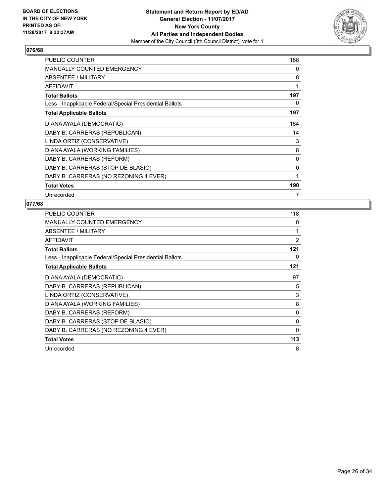

| <b>PUBLIC COUNTER</b>                                    | 188 |
|----------------------------------------------------------|-----|
| <b>MANUALLY COUNTED EMERGENCY</b>                        | 0   |
| ABSENTEE / MILITARY                                      | 8   |
| <b>AFFIDAVIT</b>                                         | 1   |
| <b>Total Ballots</b>                                     | 197 |
| Less - Inapplicable Federal/Special Presidential Ballots | 0   |
| <b>Total Applicable Ballots</b>                          | 197 |
| DIANA AYALA (DEMOCRATIC)                                 | 164 |
| DABY B. CARRERAS (REPUBLICAN)                            | 14  |
| LINDA ORTIZ (CONSERVATIVE)                               | 3   |
| DIANA AYALA (WORKING FAMILIES)                           | 8   |
| DABY B. CARRERAS (REFORM)                                | 0   |
| DABY B. CARRERAS (STOP DE BLASIO)                        | 0   |
| DABY B. CARRERAS (NO REZONING 4 EVER)                    | 1   |
| <b>Total Votes</b>                                       | 190 |
| Unrecorded                                               | 7   |

| <b>PUBLIC COUNTER</b>                                    | 118            |
|----------------------------------------------------------|----------------|
| <b>MANUALLY COUNTED EMERGENCY</b>                        | 0              |
| ABSENTEE / MILITARY                                      | 1              |
| <b>AFFIDAVIT</b>                                         | $\overline{2}$ |
| <b>Total Ballots</b>                                     | 121            |
| Less - Inapplicable Federal/Special Presidential Ballots | 0              |
| <b>Total Applicable Ballots</b>                          | 121            |
| DIANA AYALA (DEMOCRATIC)                                 | 97             |
| DABY B. CARRERAS (REPUBLICAN)                            | 5              |
| LINDA ORTIZ (CONSERVATIVE)                               | 3              |
| DIANA AYALA (WORKING FAMILIES)                           | 8              |
| DABY B. CARRERAS (REFORM)                                | 0              |
| DABY B. CARRERAS (STOP DE BLASIO)                        | 0              |
| DABY B. CARRERAS (NO REZONING 4 EVER)                    | $\Omega$       |
| <b>Total Votes</b>                                       | 113            |
| Unrecorded                                               | 8              |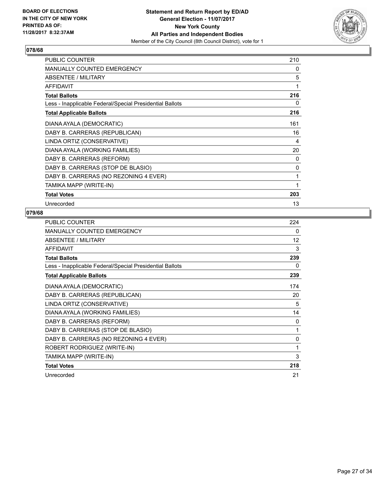

| <b>PUBLIC COUNTER</b>                                    | 210 |
|----------------------------------------------------------|-----|
| <b>MANUALLY COUNTED EMERGENCY</b>                        | 0   |
| <b>ABSENTEE / MILITARY</b>                               | 5   |
| AFFIDAVIT                                                | 1   |
| <b>Total Ballots</b>                                     | 216 |
| Less - Inapplicable Federal/Special Presidential Ballots | 0   |
| <b>Total Applicable Ballots</b>                          | 216 |
| DIANA AYALA (DEMOCRATIC)                                 | 161 |
| DABY B. CARRERAS (REPUBLICAN)                            | 16  |
| LINDA ORTIZ (CONSERVATIVE)                               | 4   |
| DIANA AYALA (WORKING FAMILIES)                           | 20  |
| DABY B. CARRERAS (REFORM)                                | 0   |
| DABY B. CARRERAS (STOP DE BLASIO)                        | 0   |
| DABY B. CARRERAS (NO REZONING 4 EVER)                    | 1   |
| TAMIKA MAPP (WRITE-IN)                                   | 1   |
| <b>Total Votes</b>                                       | 203 |
| Unrecorded                                               | 13  |

| <b>PUBLIC COUNTER</b>                                    | 224 |
|----------------------------------------------------------|-----|
| MANUALLY COUNTED EMERGENCY                               | 0   |
| ABSENTEE / MILITARY                                      | 12  |
| <b>AFFIDAVIT</b>                                         | 3   |
| <b>Total Ballots</b>                                     | 239 |
| Less - Inapplicable Federal/Special Presidential Ballots | 0   |
| <b>Total Applicable Ballots</b>                          | 239 |
| DIANA AYALA (DEMOCRATIC)                                 | 174 |
| DABY B. CARRERAS (REPUBLICAN)                            | 20  |
| LINDA ORTIZ (CONSERVATIVE)                               | 5   |
| DIANA AYALA (WORKING FAMILIES)                           | 14  |
| DABY B. CARRERAS (REFORM)                                | 0   |
| DABY B. CARRERAS (STOP DE BLASIO)                        | 1   |
| DABY B. CARRERAS (NO REZONING 4 EVER)                    | 0   |
| ROBERT RODRIGUEZ (WRITE-IN)                              | 1   |
| TAMIKA MAPP (WRITE-IN)                                   | 3   |
| <b>Total Votes</b>                                       | 218 |
| Unrecorded                                               | 21  |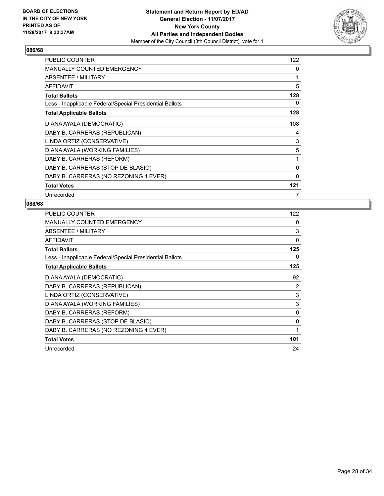

| <b>PUBLIC COUNTER</b>                                    | 122          |
|----------------------------------------------------------|--------------|
| <b>MANUALLY COUNTED EMERGENCY</b>                        | 0            |
| ABSENTEE / MILITARY                                      | 1            |
| <b>AFFIDAVIT</b>                                         | 5            |
| <b>Total Ballots</b>                                     | 128          |
| Less - Inapplicable Federal/Special Presidential Ballots | 0            |
| <b>Total Applicable Ballots</b>                          | 128          |
| DIANA AYALA (DEMOCRATIC)                                 | 108          |
| DABY B. CARRERAS (REPUBLICAN)                            | 4            |
| LINDA ORTIZ (CONSERVATIVE)                               | 3            |
| DIANA AYALA (WORKING FAMILIES)                           | 5            |
| DABY B. CARRERAS (REFORM)                                | 1            |
| DABY B. CARRERAS (STOP DE BLASIO)                        | 0            |
| DABY B. CARRERAS (NO REZONING 4 EVER)                    | $\mathbf{0}$ |
| <b>Total Votes</b>                                       | 121          |
| Unrecorded                                               | 7            |

| <b>PUBLIC COUNTER</b>                                    | 122      |
|----------------------------------------------------------|----------|
| MANUALLY COUNTED EMERGENCY                               | 0        |
| ABSENTEE / MILITARY                                      | 3        |
| <b>AFFIDAVIT</b>                                         | $\Omega$ |
| <b>Total Ballots</b>                                     | 125      |
| Less - Inapplicable Federal/Special Presidential Ballots | 0        |
| <b>Total Applicable Ballots</b>                          | 125      |
| DIANA AYALA (DEMOCRATIC)                                 | 92       |
| DABY B. CARRERAS (REPUBLICAN)                            | 2        |
| LINDA ORTIZ (CONSERVATIVE)                               | 3        |
| DIANA AYALA (WORKING FAMILIES)                           | 3        |
| DABY B. CARRERAS (REFORM)                                | 0        |
| DABY B. CARRERAS (STOP DE BLASIO)                        | 0        |
| DABY B. CARRERAS (NO REZONING 4 EVER)                    | 1        |
| <b>Total Votes</b>                                       | 101      |
| Unrecorded                                               | 24       |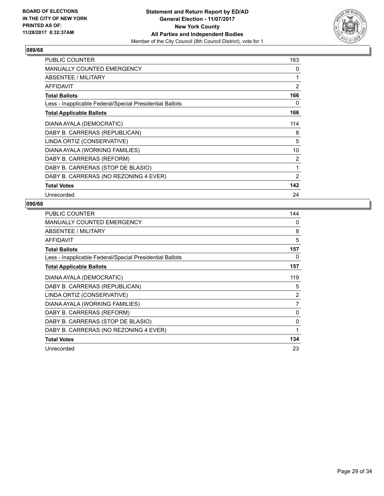

| <b>PUBLIC COUNTER</b>                                    | 163            |
|----------------------------------------------------------|----------------|
| <b>MANUALLY COUNTED EMERGENCY</b>                        | 0              |
| ABSENTEE / MILITARY                                      | 1              |
| <b>AFFIDAVIT</b>                                         | $\overline{2}$ |
| <b>Total Ballots</b>                                     | 166            |
| Less - Inapplicable Federal/Special Presidential Ballots | 0              |
| <b>Total Applicable Ballots</b>                          | 166            |
| DIANA AYALA (DEMOCRATIC)                                 | 114            |
| DABY B. CARRERAS (REPUBLICAN)                            | 8              |
| LINDA ORTIZ (CONSERVATIVE)                               | 5              |
| DIANA AYALA (WORKING FAMILIES)                           | 10             |
| DABY B. CARRERAS (REFORM)                                | 2              |
| DABY B. CARRERAS (STOP DE BLASIO)                        | 1              |
| DABY B. CARRERAS (NO REZONING 4 EVER)                    | 2              |
| <b>Total Votes</b>                                       | 142            |
| Unrecorded                                               | 24             |

| <b>PUBLIC COUNTER</b>                                    | 144            |
|----------------------------------------------------------|----------------|
| <b>MANUALLY COUNTED EMERGENCY</b>                        | 0              |
| ABSENTEE / MILITARY                                      | 8              |
| <b>AFFIDAVIT</b>                                         | 5              |
| <b>Total Ballots</b>                                     | 157            |
| Less - Inapplicable Federal/Special Presidential Ballots | 0              |
| <b>Total Applicable Ballots</b>                          | 157            |
| DIANA AYALA (DEMOCRATIC)                                 | 119            |
| DABY B. CARRERAS (REPUBLICAN)                            | 5              |
| LINDA ORTIZ (CONSERVATIVE)                               | 2              |
| DIANA AYALA (WORKING FAMILIES)                           | $\overline{7}$ |
| DABY B. CARRERAS (REFORM)                                | 0              |
| DABY B. CARRERAS (STOP DE BLASIO)                        | 0              |
| DABY B. CARRERAS (NO REZONING 4 EVER)                    | 1              |
| <b>Total Votes</b>                                       | 134            |
| Unrecorded                                               | 23             |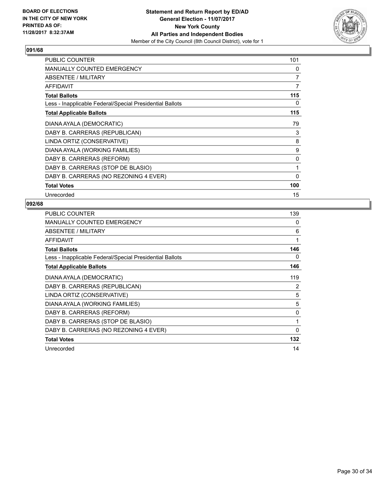

| <b>PUBLIC COUNTER</b>                                    | 101          |
|----------------------------------------------------------|--------------|
| <b>MANUALLY COUNTED EMERGENCY</b>                        | 0            |
| ABSENTEE / MILITARY                                      | 7            |
| <b>AFFIDAVIT</b>                                         | 7            |
| <b>Total Ballots</b>                                     | 115          |
| Less - Inapplicable Federal/Special Presidential Ballots | 0            |
| <b>Total Applicable Ballots</b>                          | 115          |
| DIANA AYALA (DEMOCRATIC)                                 | 79           |
| DABY B. CARRERAS (REPUBLICAN)                            | 3            |
| LINDA ORTIZ (CONSERVATIVE)                               | 8            |
| DIANA AYALA (WORKING FAMILIES)                           | 9            |
| DABY B. CARRERAS (REFORM)                                | 0            |
| DABY B. CARRERAS (STOP DE BLASIO)                        | 1            |
| DABY B. CARRERAS (NO REZONING 4 EVER)                    | $\mathbf{0}$ |
| <b>Total Votes</b>                                       | 100          |
| Unrecorded                                               | 15           |

| <b>PUBLIC COUNTER</b>                                    | 139         |
|----------------------------------------------------------|-------------|
| MANUALLY COUNTED EMERGENCY                               | 0           |
| ABSENTEE / MILITARY                                      | 6           |
| <b>AFFIDAVIT</b>                                         | 1           |
| <b>Total Ballots</b>                                     | 146         |
| Less - Inapplicable Federal/Special Presidential Ballots | 0           |
| <b>Total Applicable Ballots</b>                          | 146         |
| DIANA AYALA (DEMOCRATIC)                                 | 119         |
| DABY B. CARRERAS (REPUBLICAN)                            | 2           |
| LINDA ORTIZ (CONSERVATIVE)                               | 5           |
| DIANA AYALA (WORKING FAMILIES)                           | 5           |
| DABY B. CARRERAS (REFORM)                                | 0           |
| DABY B. CARRERAS (STOP DE BLASIO)                        | 1           |
| DABY B. CARRERAS (NO REZONING 4 EVER)                    | $\mathbf 0$ |
| <b>Total Votes</b>                                       | 132         |
| Unrecorded                                               | 14          |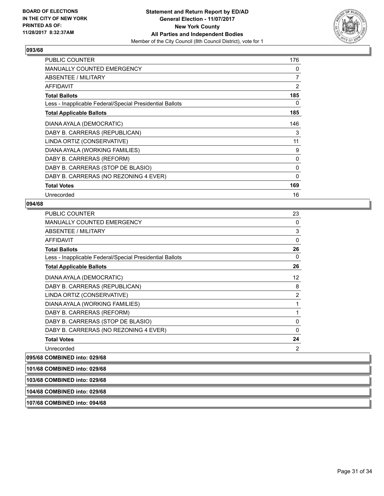

| <b>PUBLIC COUNTER</b>                                    | 176 |
|----------------------------------------------------------|-----|
| <b>MANUALLY COUNTED EMERGENCY</b>                        | 0   |
| ABSENTEE / MILITARY                                      | 7   |
| <b>AFFIDAVIT</b>                                         | 2   |
| <b>Total Ballots</b>                                     | 185 |
| Less - Inapplicable Federal/Special Presidential Ballots | 0   |
| <b>Total Applicable Ballots</b>                          | 185 |
| DIANA AYALA (DEMOCRATIC)                                 | 146 |
| DABY B. CARRERAS (REPUBLICAN)                            | 3   |
| LINDA ORTIZ (CONSERVATIVE)                               | 11  |
| DIANA AYALA (WORKING FAMILIES)                           | 9   |
| DABY B. CARRERAS (REFORM)                                | 0   |
| DABY B. CARRERAS (STOP DE BLASIO)                        | 0   |
| DABY B. CARRERAS (NO REZONING 4 EVER)                    | 0   |
| <b>Total Votes</b>                                       | 169 |
| Unrecorded                                               | 16  |

#### **094/68**

| PUBLIC COUNTER                                           | 23             |
|----------------------------------------------------------|----------------|
| <b>MANUALLY COUNTED EMERGENCY</b>                        | 0              |
| <b>ABSENTEE / MILITARY</b>                               | 3              |
| AFFIDAVIT                                                | 0              |
| <b>Total Ballots</b>                                     | 26             |
| Less - Inapplicable Federal/Special Presidential Ballots | 0              |
| <b>Total Applicable Ballots</b>                          | 26             |
| DIANA AYALA (DEMOCRATIC)                                 | 12             |
| DABY B. CARRERAS (REPUBLICAN)                            | 8              |
| LINDA ORTIZ (CONSERVATIVE)                               | $\overline{2}$ |
| DIANA AYALA (WORKING FAMILIES)                           | 1              |
| DABY B. CARRERAS (REFORM)                                | 1              |
| DABY B. CARRERAS (STOP DE BLASIO)                        | 0              |
| DABY B. CARRERAS (NO REZONING 4 EVER)                    | 0              |
| <b>Total Votes</b>                                       | 24             |
| Unrecorded                                               | 2              |
|                                                          |                |

### **095/68 COMBINED into: 029/68**

| 101/68 COMBINED into: 029/68 |  |
|------------------------------|--|
| 103/68 COMBINED into: 029/68 |  |
| 104/68 COMBINED into: 029/68 |  |

#### **107/68 COMBINED into: 094/68**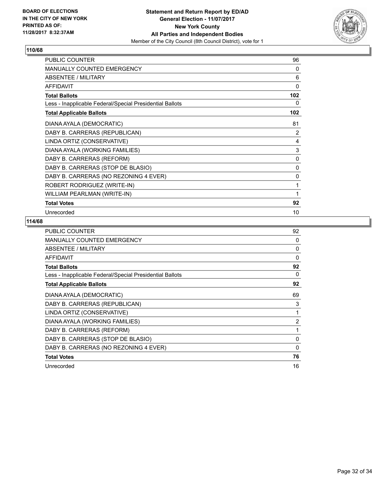

| <b>PUBLIC COUNTER</b>                                    | 96  |
|----------------------------------------------------------|-----|
| <b>MANUALLY COUNTED EMERGENCY</b>                        | 0   |
| <b>ABSENTEE / MILITARY</b>                               | 6   |
| <b>AFFIDAVIT</b>                                         | 0   |
| <b>Total Ballots</b>                                     | 102 |
| Less - Inapplicable Federal/Special Presidential Ballots | 0   |
| <b>Total Applicable Ballots</b>                          | 102 |
| DIANA AYALA (DEMOCRATIC)                                 | 81  |
| DABY B. CARRERAS (REPUBLICAN)                            | 2   |
| LINDA ORTIZ (CONSERVATIVE)                               | 4   |
| DIANA AYALA (WORKING FAMILIES)                           | 3   |
| DABY B. CARRERAS (REFORM)                                | 0   |
| DABY B. CARRERAS (STOP DE BLASIO)                        | 0   |
| DABY B. CARRERAS (NO REZONING 4 EVER)                    | 0   |
| ROBERT RODRIGUEZ (WRITE-IN)                              | 1   |
| WILLIAM PEARLMAN (WRITE-IN)                              | 1   |
| <b>Total Votes</b>                                       | 92  |
| Unrecorded                                               | 10  |

| <b>PUBLIC COUNTER</b>                                    | 92             |
|----------------------------------------------------------|----------------|
| <b>MANUALLY COUNTED EMERGENCY</b>                        | 0              |
| ABSENTEE / MILITARY                                      | 0              |
| <b>AFFIDAVIT</b>                                         | $\Omega$       |
| <b>Total Ballots</b>                                     | 92             |
| Less - Inapplicable Federal/Special Presidential Ballots | 0              |
| <b>Total Applicable Ballots</b>                          | 92             |
| DIANA AYALA (DEMOCRATIC)                                 | 69             |
| DABY B. CARRERAS (REPUBLICAN)                            | 3              |
| LINDA ORTIZ (CONSERVATIVE)                               | 1              |
| DIANA AYALA (WORKING FAMILIES)                           | $\overline{2}$ |
| DABY B. CARRERAS (REFORM)                                | 1              |
| DABY B. CARRERAS (STOP DE BLASIO)                        | $\mathbf{0}$   |
| DABY B. CARRERAS (NO REZONING 4 EVER)                    | 0              |
| <b>Total Votes</b>                                       | 76             |
| Unrecorded                                               | 16             |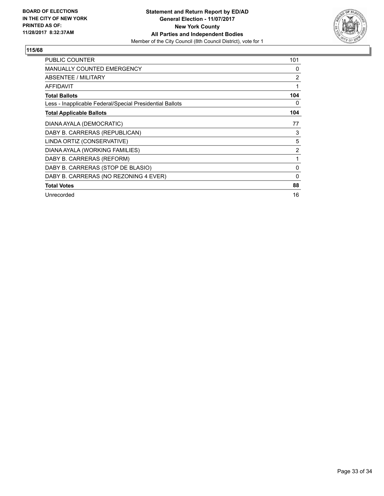

| PUBLIC COUNTER                                           | 101            |
|----------------------------------------------------------|----------------|
| <b>MANUALLY COUNTED EMERGENCY</b>                        | 0              |
| <b>ABSENTEE / MILITARY</b>                               | $\overline{2}$ |
| AFFIDAVIT                                                | 1              |
| <b>Total Ballots</b>                                     | 104            |
| Less - Inapplicable Federal/Special Presidential Ballots | 0              |
| <b>Total Applicable Ballots</b>                          | 104            |
| DIANA AYALA (DEMOCRATIC)                                 | 77             |
| DABY B. CARRERAS (REPUBLICAN)                            | 3              |
| LINDA ORTIZ (CONSERVATIVE)                               | 5              |
| DIANA AYALA (WORKING FAMILIES)                           | $\overline{2}$ |
| DABY B. CARRERAS (REFORM)                                | 1              |
| DABY B. CARRERAS (STOP DE BLASIO)                        | 0              |
| DABY B. CARRERAS (NO REZONING 4 EVER)                    | 0              |
| <b>Total Votes</b>                                       | 88             |
| Unrecorded                                               | 16             |